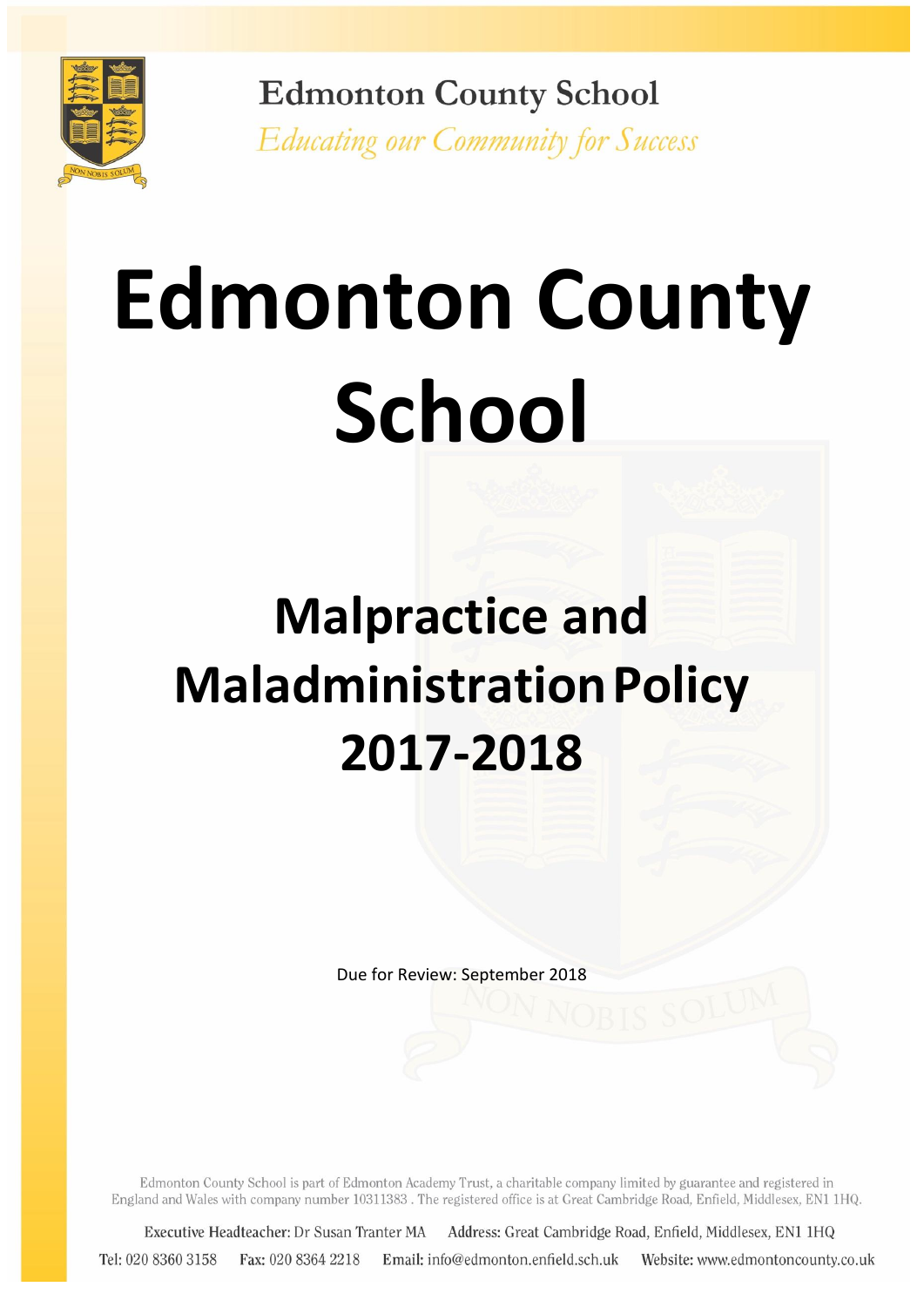

**Edmonton County School** Educating our Community for Success

# **Edmonton County School**

# **Malpractice and MaladministrationPolicy 2017-2018**

Due for Review: September 2018

Edmonton County School is part of Edmonton Academy Trust, a charitable company limited by guarantee and registered in England and Wales with company number 10311383. The registered office is at Great Cambridge Road, Enfield, Middlesex, EN1 1HQ.

Executive Headteacher: Dr Susan Tranter MA Address: Great Cambridge Road, Enfield, Middlesex, EN1 1HQ Tel: 020 8360 3158 Fax: 020 8364 2218 Email: info@edmonton.enfield.sch.uk Website: www.edmontoncounty.co.uk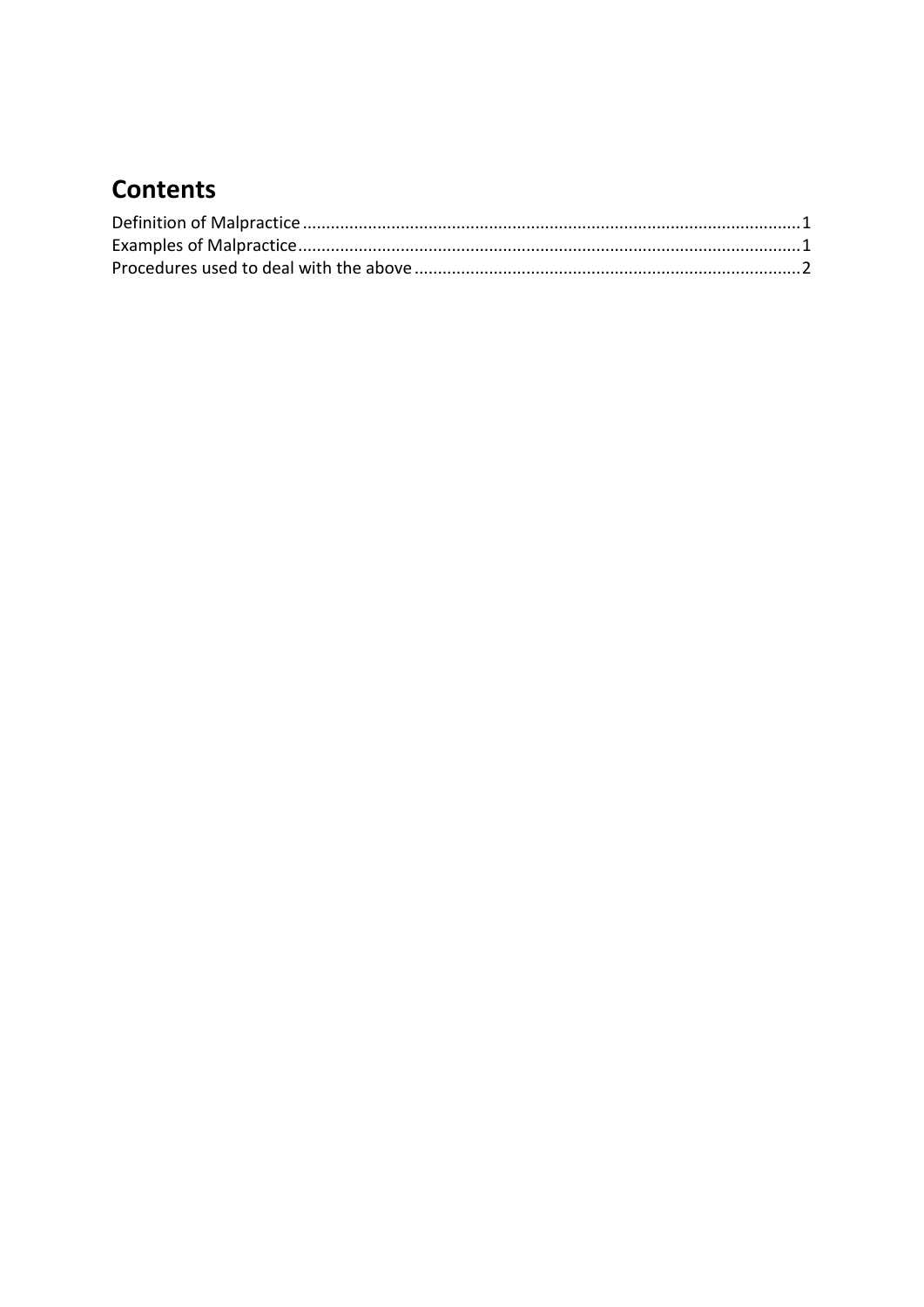# **Contents**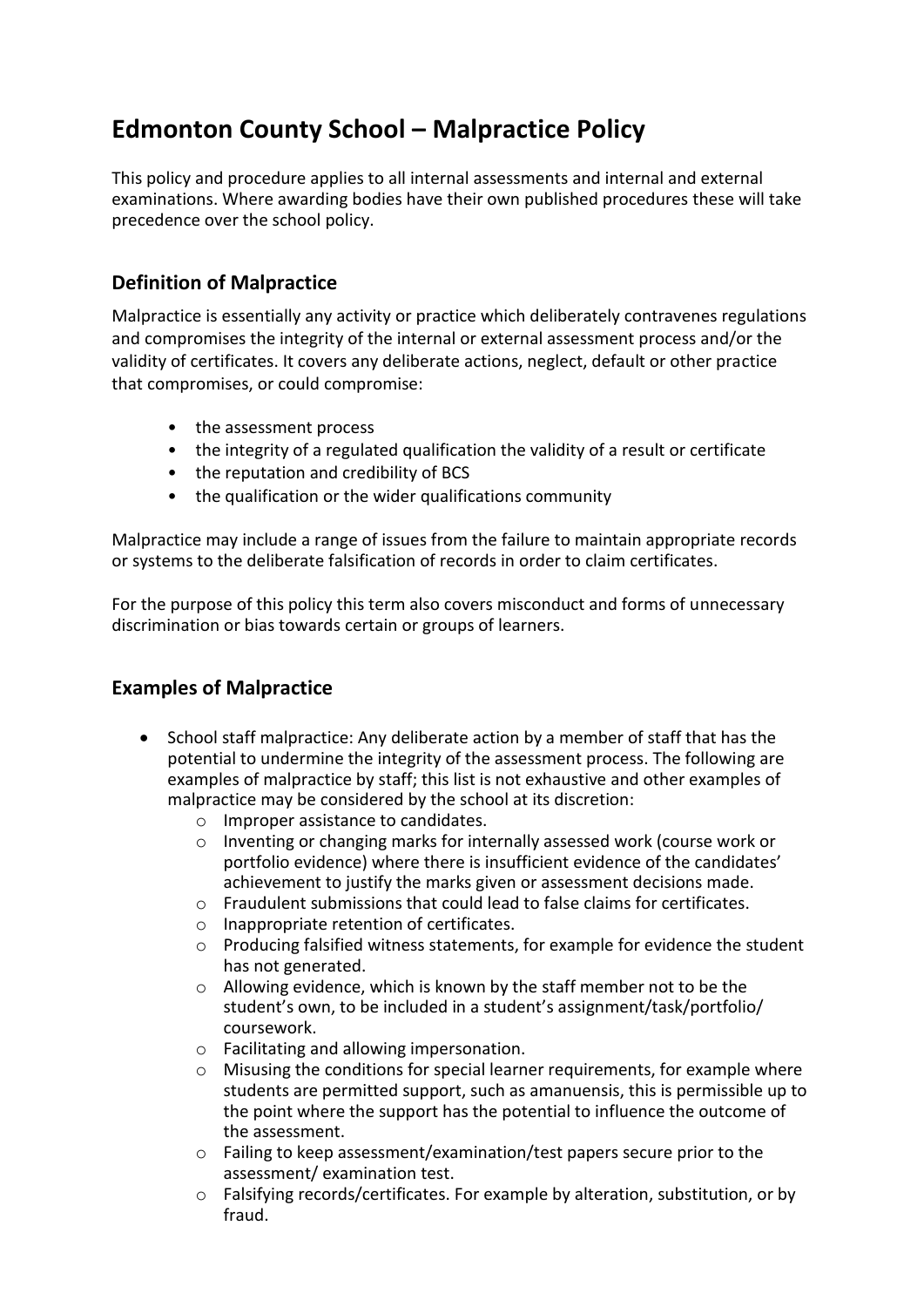## **Edmonton County School – Malpractice Policy**

This policy and procedure applies to all internal assessments and internal and external examinations. Where awarding bodies have their own published procedures these will take precedence over the school policy.

### <span id="page-2-0"></span>**Definition of Malpractice**

Malpractice is essentially any activity or practice which deliberately contravenes regulations and compromises the integrity of the internal or external assessment process and/or the validity of certificates. It covers any deliberate actions, neglect, default or other practice that compromises, or could compromise:

- the assessment process
- the integrity of a regulated qualification the validity of a result or certificate
- the reputation and credibility of BCS
- the qualification or the wider qualifications community

Malpractice may include a range of issues from the failure to maintain appropriate records or systems to the deliberate falsification of records in order to claim certificates.

For the purpose of this policy this term also covers misconduct and forms of unnecessary discrimination or bias towards certain or groups of learners.

### <span id="page-2-1"></span>**Examples of Malpractice**

- School staff malpractice: Any deliberate action by a member of staff that has the potential to undermine the integrity of the assessment process. The following are examples of malpractice by staff; this list is not exhaustive and other examples of malpractice may be considered by the school at its discretion:
	- o Improper assistance to candidates.
	- $\circ$  Inventing or changing marks for internally assessed work (course work or portfolio evidence) where there is insufficient evidence of the candidates' achievement to justify the marks given or assessment decisions made.
	- $\circ$  Fraudulent submissions that could lead to false claims for certificates.
	- o Inappropriate retention of certificates.
	- $\circ$  Producing falsified witness statements, for example for evidence the student has not generated.
	- o Allowing evidence, which is known by the staff member not to be the student's own, to be included in a student's assignment/task/portfolio/ coursework.
	- o Facilitating and allowing impersonation.
	- $\circ$  Misusing the conditions for special learner requirements, for example where students are permitted support, such as amanuensis, this is permissible up to the point where the support has the potential to influence the outcome of the assessment.
	- o Failing to keep assessment/examination/test papers secure prior to the assessment/ examination test.
	- o Falsifying records/certificates. For example by alteration, substitution, or by fraud.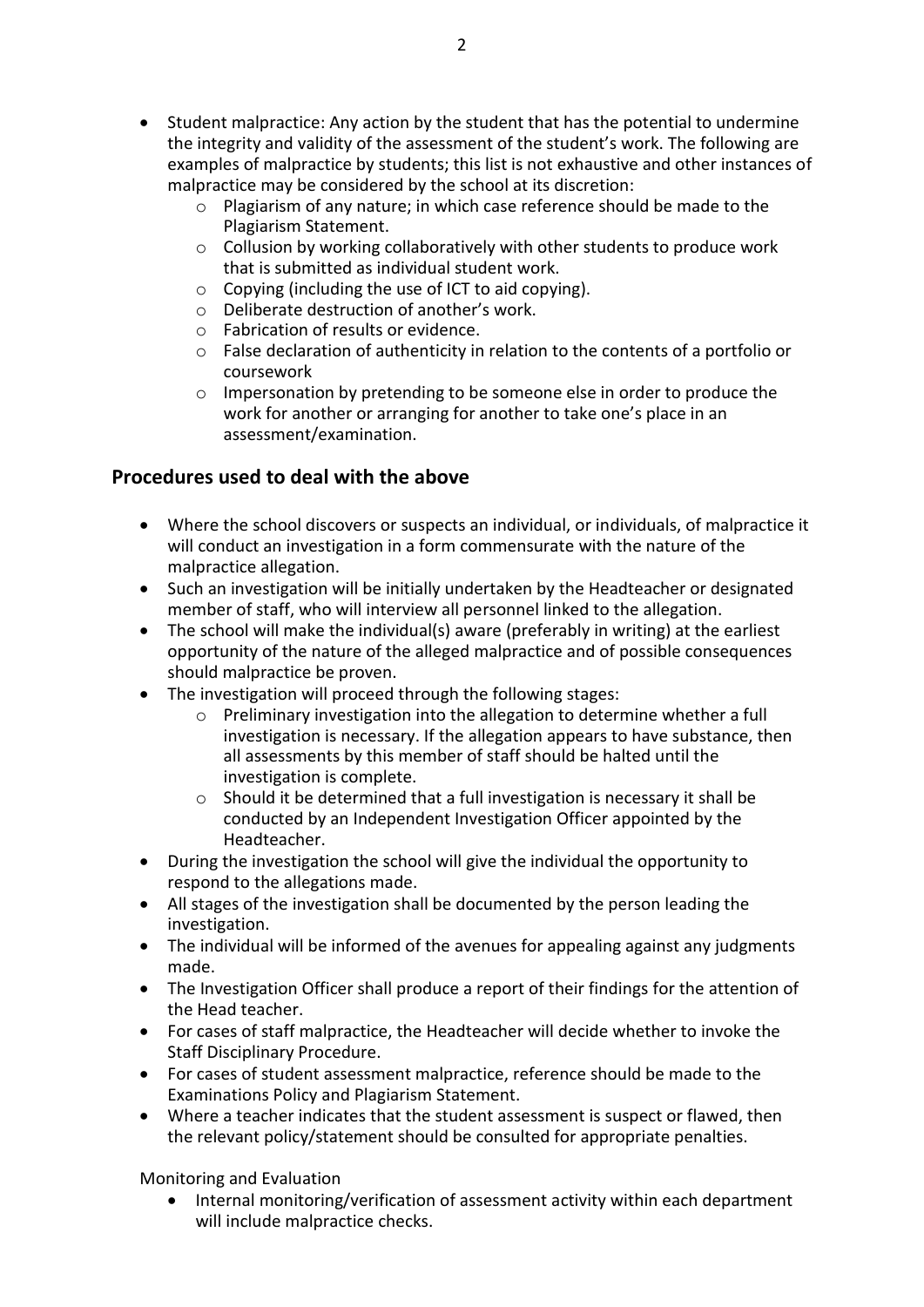- Student malpractice: Any action by the student that has the potential to undermine the integrity and validity of the assessment of the student's work. The following are examples of malpractice by students; this list is not exhaustive and other instances of malpractice may be considered by the school at its discretion:
	- o Plagiarism of any nature; in which case reference should be made to the Plagiarism Statement.
	- o Collusion by working collaboratively with other students to produce work that is submitted as individual student work.
	- o Copying (including the use of ICT to aid copying).
	- o Deliberate destruction of another's work.
	- o Fabrication of results or evidence.
	- $\circ$  False declaration of authenticity in relation to the contents of a portfolio or coursework
	- o Impersonation by pretending to be someone else in order to produce the work for another or arranging for another to take one's place in an assessment/examination.

#### <span id="page-3-0"></span>**Procedures used to deal with the above**

- Where the school discovers or suspects an individual, or individuals, of malpractice it will conduct an investigation in a form commensurate with the nature of the malpractice allegation.
- Such an investigation will be initially undertaken by the Headteacher or designated member of staff, who will interview all personnel linked to the allegation.
- The school will make the individual(s) aware (preferably in writing) at the earliest opportunity of the nature of the alleged malpractice and of possible consequences should malpractice be proven.
- The investigation will proceed through the following stages:
	- o Preliminary investigation into the allegation to determine whether a full investigation is necessary. If the allegation appears to have substance, then all assessments by this member of staff should be halted until the investigation is complete.
	- o Should it be determined that a full investigation is necessary it shall be conducted by an Independent Investigation Officer appointed by the Headteacher.
- During the investigation the school will give the individual the opportunity to respond to the allegations made.
- All stages of the investigation shall be documented by the person leading the investigation.
- The individual will be informed of the avenues for appealing against any judgments made.
- The Investigation Officer shall produce a report of their findings for the attention of the Head teacher.
- For cases of staff malpractice, the Headteacher will decide whether to invoke the Staff Disciplinary Procedure.
- For cases of student assessment malpractice, reference should be made to the Examinations Policy and Plagiarism Statement.
- Where a teacher indicates that the student assessment is suspect or flawed, then the relevant policy/statement should be consulted for appropriate penalties.

Monitoring and Evaluation

 Internal monitoring/verification of assessment activity within each department will include malpractice checks.